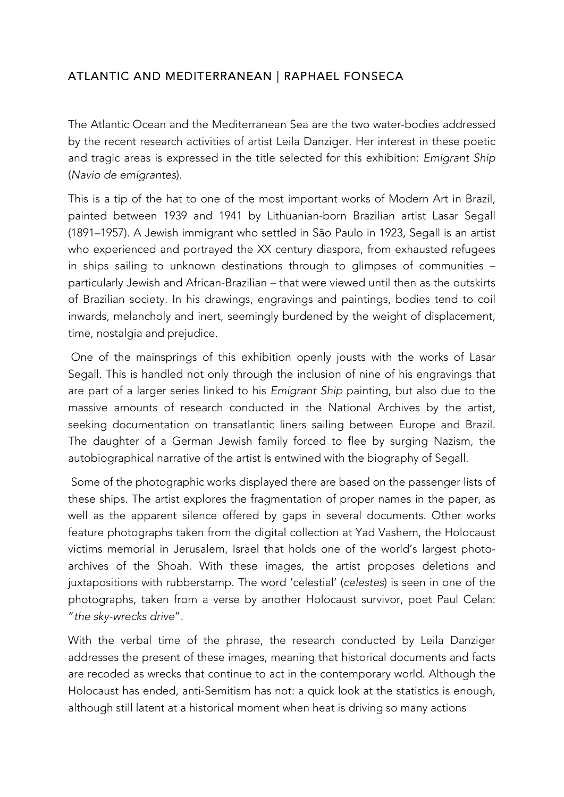## ATLANTIC AND MEDITERRANEAN | RAPHAEL FONSECA

The Atlantic Ocean and the Mediterranean Sea are the two water-bodies addressed by the recent research activities of artist Leila Danziger. Her interest in these poetic and tragic areas is expressed in the title selected for this exhibition: *Emigrant Ship* (*Navio de emigrantes*).

This is a tip of the hat to one of the most important works of Modern Art in Brazil, painted between 1939 and 1941 by Lithuanian-born Brazilian artist Lasar Segall (1891–1957). A Jewish immigrant who settled in São Paulo in 1923, Segall is an artist who experienced and portrayed the XX century diaspora, from exhausted refugees in ships sailing to unknown destinations through to glimpses of communities – particularly Jewish and African-Brazilian – that were viewed until then as the outskirts of Brazilian society. In his drawings, engravings and paintings, bodies tend to coil inwards, melancholy and inert, seemingly burdened by the weight of displacement, time, nostalgia and prejudice.

One of the mainsprings of this exhibition openly jousts with the works of Lasar Segall. This is handled not only through the inclusion of nine of his engravings that are part of a larger series linked to his *Emigrant Ship* painting, but also due to the massive amounts of research conducted in the National Archives by the artist, seeking documentation on transatlantic liners sailing between Europe and Brazil. The daughter of a German Jewish family forced to flee by surging Nazism, the autobiographical narrative of the artist is entwined with the biography of Segall.

Some of the photographic works displayed there are based on the passenger lists of these ships. The artist explores the fragmentation of proper names in the paper, as well as the apparent silence offered by gaps in several documents. Other works feature photographs taken from the digital collection at Yad Vashem, the Holocaust victims memorial in Jerusalem, Israel that holds one of the world's largest photoarchives of the Shoah. With these images, the artist proposes deletions and juxtapositions with rubberstamp. The word 'celestial' (*celestes*) is seen in one of the photographs, taken from a verse by another Holocaust survivor, poet Paul Celan: "*the sky-wrecks drive*".

With the verbal time of the phrase, the research conducted by Leila Danziger addresses the present of these images, meaning that historical documents and facts are recoded as wrecks that continue to act in the contemporary world. Although the Holocaust has ended, anti-Semitism has not: a quick look at the statistics is enough, although still latent at a historical moment when heat is driving so many actions